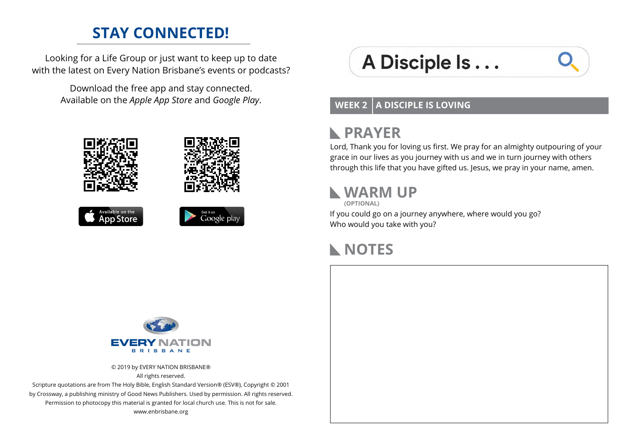### **STAY CONNECTED!**

Looking for a Life Group or just want to keep up to date with the latest on Every Nation Brisbane's events or podcasts?

> Download the free app and stay connected. Available on the *Apple App Store* and *Google Play*.









# A Disciple Is...



#### **WEEK 2 A DISCIPLE IS LOVING**

#### **PRAYER**  $\mathbb{R}$

Lord, Thank you for loving us first. We pray for an almighty outpouring of your grace in our lives as you journey with us and we in turn journey with others through this life that you have gifted us. Jesus, we pray in your name, amen.

### **WARM UP**

**(OPTIONAL)**

If you could go on a journey anywhere, where would you go? Who would you take with you?

### **NOTES**



© 2019 by EVERY NATION BRISBANE® All rights reserved.

Scripture quotations are from The Holy Bible, English Standard Version® (ESV®), Copyright © 2001 by Crossway, a publishing ministry of Good News Publishers. Used by permission. All rights reserved. Permission to photocopy this material is granted for local church use. This is not for sale. www.enbrisbane.org